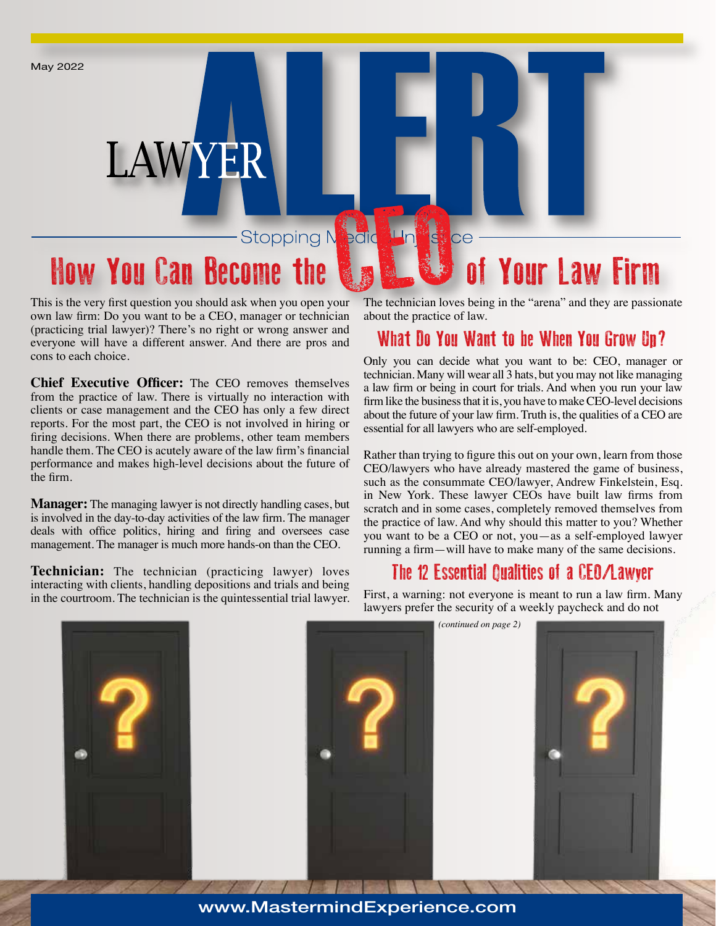May 2022

# LAWYER

#### Stopping Nedic  $\mathsf{H}$ ni **ISSN** ce

# How You Can Become the **N<sub>o</sub> N<sub>o</sub> W** of Your Law Firm

This is the very first question you should ask when you open your own law firm: Do you want to be a CEO, manager or technician (practicing trial lawyer)? There's no right or wrong answer and everyone will have a different answer. And there are pros and cons to each choice.

**Chief Executive Officer:** The CEO removes themselves from the practice of law. There is virtually no interaction with clients or case management and the CEO has only a few direct reports. For the most part, the CEO is not involved in hiring or firing decisions. When there are problems, other team members handle them. The CEO is acutely aware of the law firm's financial performance and makes high-level decisions about the future of the firm.

**Manager:** The managing lawyer is not directly handling cases, but is involved in the day-to-day activities of the law firm. The manager deals with office politics, hiring and firing and oversees case management. The manager is much more hands-on than the CEO.

**Technician:** The technician (practicing lawyer) loves interacting with clients, handling depositions and trials and being in the courtroom. The technician is the quintessential trial lawyer. The technician loves being in the "arena" and they are passionate about the practice of law.

# What Do You Want to be When You Grow Up?

Only you can decide what you want to be: CEO, manager or technician. Many will wear all 3 hats, but you may not like managing a law firm or being in court for trials. And when you run your law firm like the business that it is, you have to make CEO-level decisions about the future of your law firm. Truth is, the qualities of a CEO are essential for all lawyers who are self-employed.

Rather than trying to figure this out on your own, learn from those CEO/lawyers who have already mastered the game of business, such as the consummate CEO/lawyer, Andrew Finkelstein, Esq. in New York. These lawyer CEOs have built law firms from scratch and in some cases, completely removed themselves from the practice of law. And why should this matter to you? Whether you want to be a CEO or not, you—as a self-employed lawyer running a firm—will have to make many of the same decisions.

## The 12 Essential Qualities of a CEO/Lawyer

First, a warning: not everyone is meant to run a law firm. Many lawyers prefer the security of a weekly paycheck and do not

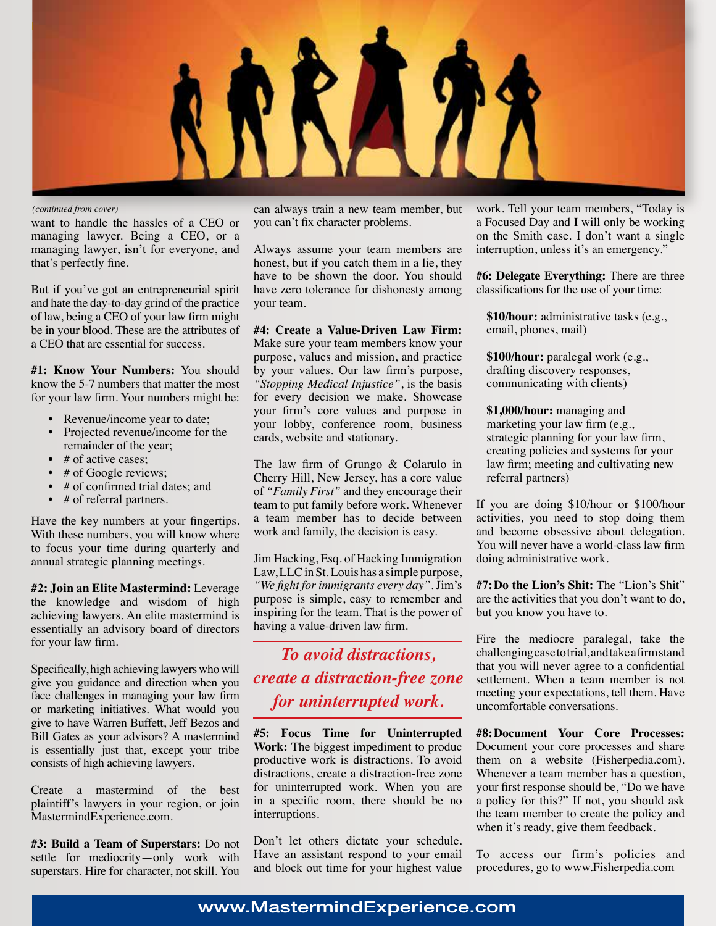

*(continued from cover)*

want to handle the hassles of a CEO or managing lawyer. Being a CEO, or a managing lawyer, isn't for everyone, and that's perfectly fine.

But if you've got an entrepreneurial spirit and hate the day-to-day grind of the practice of law, being a CEO of your law firm might be in your blood. These are the attributes of a CEO that are essential for success.

**#1: Know Your Numbers:** You should know the 5-7 numbers that matter the most for your law firm. Your numbers might be:

- Revenue/income year to date;
- Projected revenue/income for the remainder of the year;
- # of active cases:
- # of Google reviews;
- # of confirmed trial dates; and
- # of referral partners.

Have the key numbers at your fingertips. With these numbers, you will know where to focus your time during quarterly and annual strategic planning meetings.

**#2: Join an Elite Mastermind:** Leverage the knowledge and wisdom of high achieving lawyers. An elite mastermind is essentially an advisory board of directors for your law firm.

Specifically, high achieving lawyers who will give you guidance and direction when you face challenges in managing your law firm or marketing initiatives. What would you give to have Warren Buffett, Jeff Bezos and Bill Gates as your advisors? A mastermind is essentially just that, except your tribe consists of high achieving lawyers.

Create a mastermind of the best plaintiff's lawyers in your region, or join MastermindExperience.com.

**#3: Build a Team of Superstars:** Do not settle for mediocrity—only work with superstars. Hire for character, not skill. You can always train a new team member, but you can't fix character problems.

Always assume your team members are honest, but if you catch them in a lie, they have to be shown the door. You should have zero tolerance for dishonesty among your team.

**#4: Create a Value-Driven Law Firm:**  Make sure your team members know your purpose, values and mission, and practice by your values. Our law firm's purpose, *"Stopping Medical Injustice"*, is the basis for every decision we make. Showcase your firm's core values and purpose in your lobby, conference room, business cards, website and stationary.

The law firm of Grungo & Colarulo in Cherry Hill, New Jersey, has a core value of *"Family First"* and they encourage their team to put family before work. Whenever a team member has to decide between work and family, the decision is easy.

Jim Hacking, Esq. of Hacking Immigration Law, LLC in St. Louis has a simple purpose, *"We fight for immigrants every day"*. Jim's purpose is simple, easy to remember and inspiring for the team. That is the power of having a value-driven law firm.

# *To avoid distractions, create a distraction-free zone for uninterrupted work.*

**#5: Focus Time for Uninterrupted Work:** The biggest impediment to produc productive work is distractions. To avoid distractions, create a distraction-free zone for uninterrupted work. When you are in a specific room, there should be no interruptions.

Don't let others dictate your schedule. Have an assistant respond to your email and block out time for your highest value work. Tell your team members, "Today is a Focused Day and I will only be working on the Smith case. I don't want a single interruption, unless it's an emergency."

**#6: Delegate Everything:** There are three classifications for the use of your time:

**\$10/hour:** administrative tasks (e.g., email, phones, mail)

**\$100/hour:** paralegal work (e.g., drafting discovery responses, communicating with clients)

**\$1,000/hour:** managing and marketing your law firm (e.g., strategic planning for your law firm, creating policies and systems for your law firm; meeting and cultivating new referral partners)

If you are doing \$10/hour or \$100/hour activities, you need to stop doing them and become obsessive about delegation. You will never have a world-class law firm doing administrative work.

**#7:Do the Lion's Shit:** The "Lion's Shit" are the activities that you don't want to do, but you know you have to.

Fire the mediocre paralegal, take the challenging case to trial, and take a firm stand that you will never agree to a confidential settlement. When a team member is not meeting your expectations, tell them. Have uncomfortable conversations.

**#8:Document Your Core Processes:**  Document your core processes and share them on a website (Fisherpedia.com). Whenever a team member has a question, your first response should be, "Do we have a policy for this?" If not, you should ask the team member to create the policy and when it's ready, give them feedback.

To access our firm's policies and procedures, go to www.Fisherpedia.com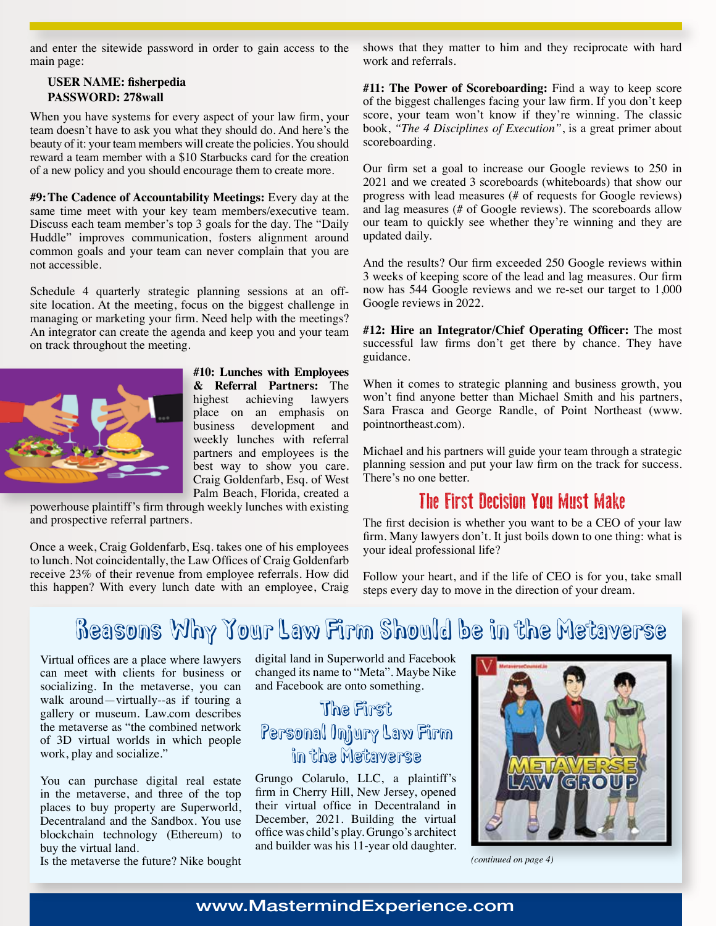and enter the sitewide password in order to gain access to the main page:

#### **USER NAME: fisherpedia PASSWORD: 278wall**

When you have systems for every aspect of your law firm, your team doesn't have to ask you what they should do. And here's the beauty of it: your team members will create the policies. You should reward a team member with a \$10 Starbucks card for the creation of a new policy and you should encourage them to create more.

**#9:The Cadence of Accountability Meetings:** Every day at the same time meet with your key team members/executive team. Discuss each team member's top 3 goals for the day. The "Daily Huddle" improves communication, fosters alignment around common goals and your team can never complain that you are not accessible.

Schedule 4 quarterly strategic planning sessions at an offsite location. At the meeting, focus on the biggest challenge in managing or marketing your firm. Need help with the meetings? An integrator can create the agenda and keep you and your team on track throughout the meeting.



**#10: Lunches with Employees & Referral Partners:** The highest achieving lawyers place on an emphasis on business development and weekly lunches with referral partners and employees is the best way to show you care. Craig Goldenfarb, Esq. of West Palm Beach, Florida, created a

powerhouse plaintiff's firm through weekly lunches with existing and prospective referral partners.

Once a week, Craig Goldenfarb, Esq. takes one of his employees to lunch. Not coincidentally, the Law Offices of Craig Goldenfarb receive 23% of their revenue from employee referrals. How did this happen? With every lunch date with an employee, Craig shows that they matter to him and they reciprocate with hard work and referrals.

**#11: The Power of Scoreboarding:** Find a way to keep score of the biggest challenges facing your law firm. If you don't keep score, your team won't know if they're winning. The classic book, *"The 4 Disciplines of Execution"*, is a great primer about scoreboarding.

Our firm set a goal to increase our Google reviews to 250 in 2021 and we created 3 scoreboards (whiteboards) that show our progress with lead measures (# of requests for Google reviews) and lag measures (# of Google reviews). The scoreboards allow our team to quickly see whether they're winning and they are updated daily.

And the results? Our firm exceeded 250 Google reviews within 3 weeks of keeping score of the lead and lag measures. Our firm now has 544 Google reviews and we re-set our target to 1,000 Google reviews in 2022.

**#12: Hire an Integrator/Chief Operating Officer:** The most successful law firms don't get there by chance. They have guidance.

When it comes to strategic planning and business growth, you won't find anyone better than Michael Smith and his partners, Sara Frasca and George Randle, of Point Northeast (www. pointnortheast.com).

Michael and his partners will guide your team through a strategic planning session and put your law firm on the track for success. There's no one better.

### The First Decision You Must Make

The first decision is whether you want to be a CEO of your law firm. Many lawyers don't. It just boils down to one thing: what is your ideal professional life?

Follow your heart, and if the life of CEO is for you, take small steps every day to move in the direction of your dream.

# Reasons Why Your Law Firm Should be in the Metaverse

Virtual offices are a place where lawyers can meet with clients for business or socializing. In the metaverse, you can walk around—virtually--as if touring a gallery or museum. Law.com describes the metaverse as "the combined network of 3D virtual worlds in which people work, play and socialize."

You can purchase digital real estate in the metaverse, and three of the top places to buy property are Superworld, Decentraland and the Sandbox. You use blockchain technology (Ethereum) to buy the virtual land.

Is the metaverse the future? Nike bought

digital land in Superworld and Facebook changed its name to "Meta". Maybe Nike and Facebook are onto something.

# The First Personal Injury Law Firm in the Metaverse

Grungo Colarulo, LLC, a plaintiff's firm in Cherry Hill, New Jersey, opened their virtual office in Decentraland in December, 2021. Building the virtual office was child's play. Grungo's architect and builder was his 11-year old daughter.



*(continued on page 4)*